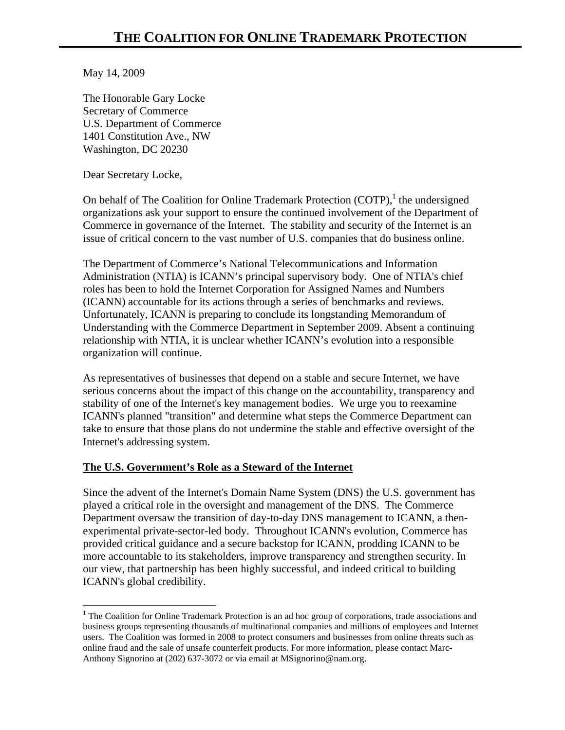May 14, 2009

The Honorable Gary Locke Secretary of Commerce U.S. Department of Commerce 1401 Constitution Ave., NW Washington, DC 20230

Dear Secretary Locke,

1

On behalf of The Coalition for Online Trademark Protection (COTP),<sup>1</sup> the undersigned organizations ask your support to ensure the continued involvement of the Department of Commerce in governance of the Internet. The stability and security of the Internet is an issue of critical concern to the vast number of U.S. companies that do business online.

The Department of Commerce's National Telecommunications and Information Administration (NTIA) is ICANN's principal supervisory body. One of NTIA's chief roles has been to hold the Internet Corporation for Assigned Names and Numbers (ICANN) accountable for its actions through a series of benchmarks and reviews. Unfortunately, ICANN is preparing to conclude its longstanding Memorandum of Understanding with the Commerce Department in September 2009. Absent a continuing relationship with NTIA, it is unclear whether ICANN's evolution into a responsible organization will continue.

As representatives of businesses that depend on a stable and secure Internet, we have serious concerns about the impact of this change on the accountability, transparency and stability of one of the Internet's key management bodies. We urge you to reexamine ICANN's planned "transition" and determine what steps the Commerce Department can take to ensure that those plans do not undermine the stable and effective oversight of the Internet's addressing system.

## **The U.S. Government's Role as a Steward of the Internet**

Since the advent of the Internet's Domain Name System (DNS) the U.S. government has played a critical role in the oversight and management of the DNS. The Commerce Department oversaw the transition of day-to-day DNS management to ICANN, a thenexperimental private-sector-led body. Throughout ICANN's evolution, Commerce has provided critical guidance and a secure backstop for ICANN, prodding ICANN to be more accountable to its stakeholders, improve transparency and strengthen security. In our view, that partnership has been highly successful, and indeed critical to building ICANN's global credibility.

<sup>&</sup>lt;sup>1</sup> The Coalition for Online Trademark Protection is an ad hoc group of corporations, trade associations and business groups representing thousands of multinational companies and millions of employees and Internet users. The Coalition was formed in 2008 to protect consumers and businesses from online threats such as online fraud and the sale of unsafe counterfeit products. For more information, please contact Marc-Anthony Signorino at (202) 637-3072 or via email at MSignorino@nam.org.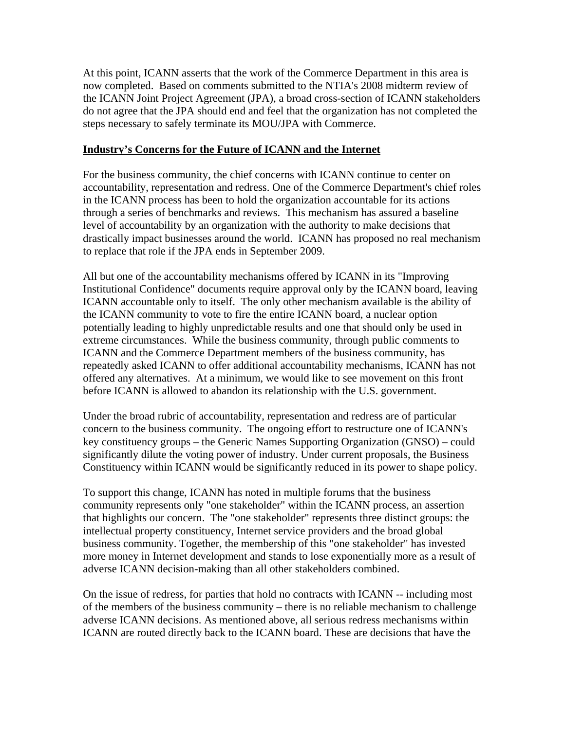At this point, ICANN asserts that the work of the Commerce Department in this area is now completed. Based on comments submitted to the NTIA's 2008 midterm review of the ICANN Joint Project Agreement (JPA), a broad cross-section of ICANN stakeholders do not agree that the JPA should end and feel that the organization has not completed the steps necessary to safely terminate its MOU/JPA with Commerce.

## **Industry's Concerns for the Future of ICANN and the Internet**

For the business community, the chief concerns with ICANN continue to center on accountability, representation and redress. One of the Commerce Department's chief roles in the ICANN process has been to hold the organization accountable for its actions through a series of benchmarks and reviews. This mechanism has assured a baseline level of accountability by an organization with the authority to make decisions that drastically impact businesses around the world. ICANN has proposed no real mechanism to replace that role if the JPA ends in September 2009.

All but one of the accountability mechanisms offered by ICANN in its "Improving Institutional Confidence" documents require approval only by the ICANN board, leaving ICANN accountable only to itself. The only other mechanism available is the ability of the ICANN community to vote to fire the entire ICANN board, a nuclear option potentially leading to highly unpredictable results and one that should only be used in extreme circumstances. While the business community, through public comments to ICANN and the Commerce Department members of the business community, has repeatedly asked ICANN to offer additional accountability mechanisms, ICANN has not offered any alternatives. At a minimum, we would like to see movement on this front before ICANN is allowed to abandon its relationship with the U.S. government.

Under the broad rubric of accountability, representation and redress are of particular concern to the business community. The ongoing effort to restructure one of ICANN's key constituency groups – the Generic Names Supporting Organization (GNSO) – could significantly dilute the voting power of industry. Under current proposals, the Business Constituency within ICANN would be significantly reduced in its power to shape policy.

To support this change, ICANN has noted in multiple forums that the business community represents only "one stakeholder" within the ICANN process, an assertion that highlights our concern. The "one stakeholder" represents three distinct groups: the intellectual property constituency, Internet service providers and the broad global business community. Together, the membership of this "one stakeholder" has invested more money in Internet development and stands to lose exponentially more as a result of adverse ICANN decision-making than all other stakeholders combined.

On the issue of redress, for parties that hold no contracts with ICANN -- including most of the members of the business community – there is no reliable mechanism to challenge adverse ICANN decisions. As mentioned above, all serious redress mechanisms within ICANN are routed directly back to the ICANN board. These are decisions that have the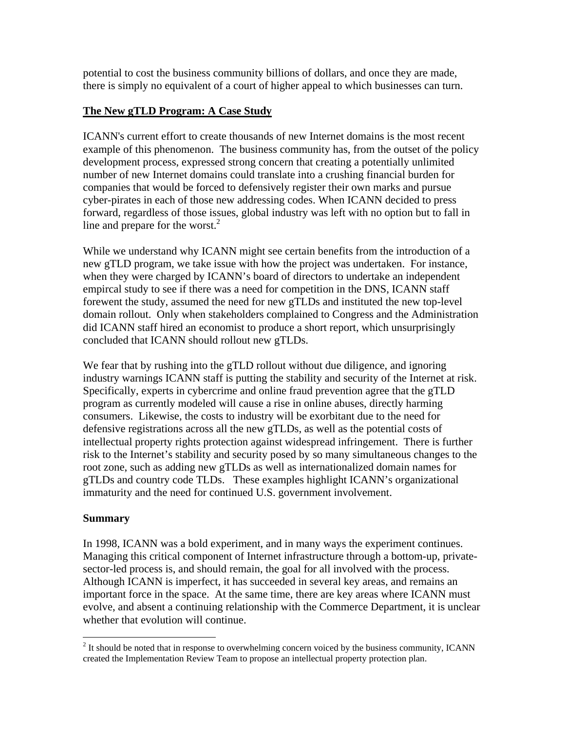potential to cost the business community billions of dollars, and once they are made, there is simply no equivalent of a court of higher appeal to which businesses can turn.

## **The New gTLD Program: A Case Study**

ICANN's current effort to create thousands of new Internet domains is the most recent example of this phenomenon. The business community has, from the outset of the policy development process, expressed strong concern that creating a potentially unlimited number of new Internet domains could translate into a crushing financial burden for companies that would be forced to defensively register their own marks and pursue cyber-pirates in each of those new addressing codes. When ICANN decided to press forward, regardless of those issues, global industry was left with no option but to fall in line and prepare for the worst. $2$ 

While we understand why ICANN might see certain benefits from the introduction of a new gTLD program, we take issue with how the project was undertaken. For instance, when they were charged by ICANN's board of directors to undertake an independent empircal study to see if there was a need for competition in the DNS, ICANN staff forewent the study, assumed the need for new gTLDs and instituted the new top-level domain rollout. Only when stakeholders complained to Congress and the Administration did ICANN staff hired an economist to produce a short report, which unsurprisingly concluded that ICANN should rollout new gTLDs.

We fear that by rushing into the gTLD rollout without due diligence, and ignoring industry warnings ICANN staff is putting the stability and security of the Internet at risk. Specifically, experts in cybercrime and online fraud prevention agree that the gTLD program as currently modeled will cause a rise in online abuses, directly harming consumers. Likewise, the costs to industry will be exorbitant due to the need for defensive registrations across all the new gTLDs, as well as the potential costs of intellectual property rights protection against widespread infringement. There is further risk to the Internet's stability and security posed by so many simultaneous changes to the root zone, such as adding new gTLDs as well as internationalized domain names for gTLDs and country code TLDs. These examples highlight ICANN's organizational immaturity and the need for continued U.S. government involvement.

## **Summary**

 $\overline{a}$ 

In 1998, ICANN was a bold experiment, and in many ways the experiment continues. Managing this critical component of Internet infrastructure through a bottom-up, privatesector-led process is, and should remain, the goal for all involved with the process. Although ICANN is imperfect, it has succeeded in several key areas, and remains an important force in the space. At the same time, there are key areas where ICANN must evolve, and absent a continuing relationship with the Commerce Department, it is unclear whether that evolution will continue.

 $2<sup>2</sup>$  It should be noted that in response to overwhelming concern voiced by the business community, ICANN created the Implementation Review Team to propose an intellectual property protection plan.